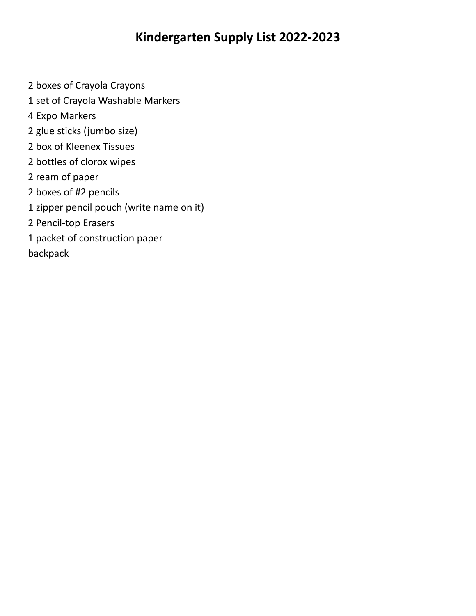## **Kindergarten Supply List 2022-2023**

- boxes of Crayola Crayons
- set of Crayola Washable Markers
- Expo Markers
- glue sticks (jumbo size)
- box of Kleenex Tissues
- bottles of clorox wipes
- ream of paper
- boxes of #2 pencils
- zipper pencil pouch (write name on it)
- Pencil-top Erasers
- packet of construction paper
- backpack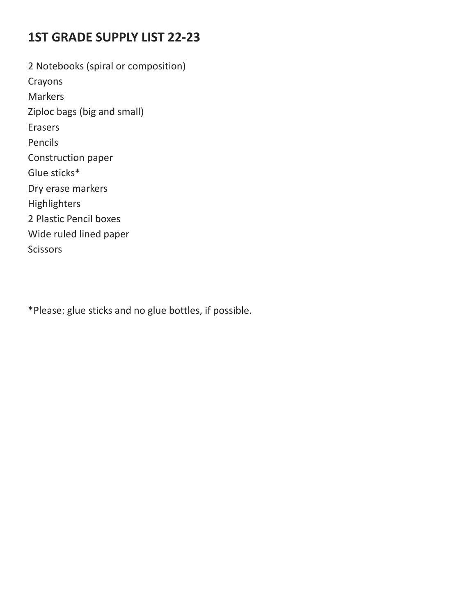# **1ST GRADE SUPPLY LIST 22-23**

2 Notebooks (spiral or composition) Crayons Markers Ziploc bags (big and small) Erasers Pencils Construction paper Glue sticks\* Dry erase markers Highlighters 2 Plastic Pencil boxes Wide ruled lined paper **Scissors** 

\*Please: glue sticks and no glue bottles, if possible.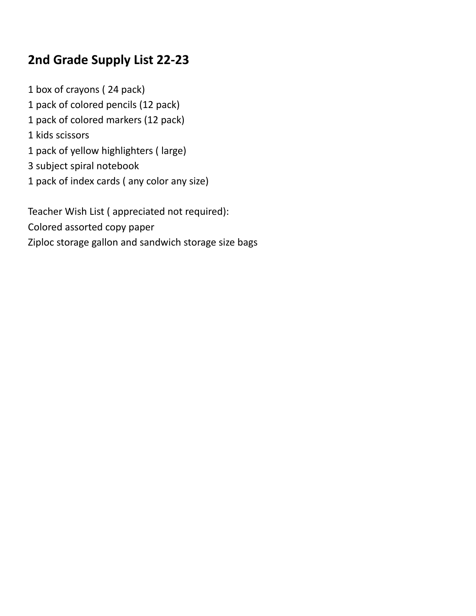## **2nd Grade Supply List 22-23**

 box of crayons ( 24 pack) pack of colored pencils (12 pack) pack of colored markers (12 pack) kids scissors pack of yellow highlighters ( large) subject spiral notebook pack of index cards ( any color any size)

Teacher Wish List ( appreciated not required): Colored assorted copy paper Ziploc storage gallon and sandwich storage size bags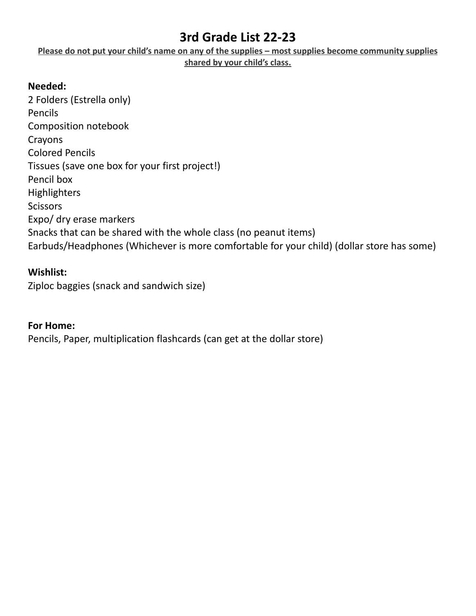### **3rd Grade List 22-23**

**Please do not put your child's name on any of the supplies – most supplies become community supplies shared by your child's class.**

### **Needed:**

2 Folders (Estrella only) Pencils Composition notebook Crayons Colored Pencils Tissues (save one box for your first project!) Pencil box **Highlighters Scissors** Expo/ dry erase markers Snacks that can be shared with the whole class (no peanut items) Earbuds/Headphones (Whichever is more comfortable for your child) (dollar store has some)

### **Wishlist:**

Ziploc baggies (snack and sandwich size)

#### **For Home:**

Pencils, Paper, multiplication flashcards (can get at the dollar store)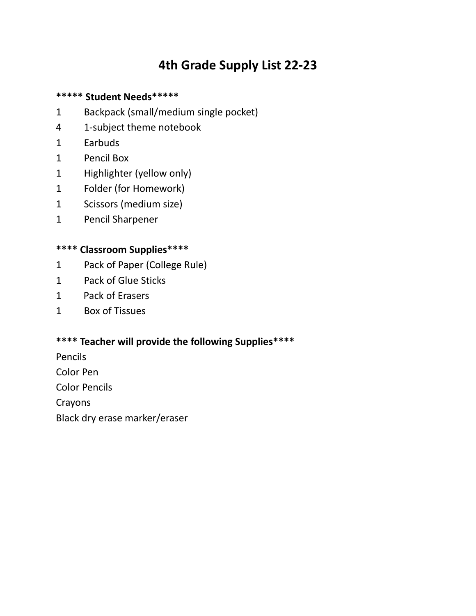# **4th Grade Supply List 22-23**

### **\*\*\*\*\* Student Needs\*\*\*\*\***

- 1 Backpack (small/medium single pocket)
- 4 1-subject theme notebook
- 1 Earbuds
- 1 Pencil Box
- 1 Highlighter (yellow only)
- 1 Folder (for Homework)
- 1 Scissors (medium size)
- 1 Pencil Sharpener

### **\*\*\*\* Classroom Supplies\*\*\*\***

- 1 Pack of Paper (College Rule)
- 1 Pack of Glue Sticks
- 1 Pack of Erasers
- 1 Box of Tissues

### **\*\*\*\* Teacher will provide the following Supplies\*\*\*\***

Pencils Color Pen

Color Pencils

Crayons

Black dry erase marker/eraser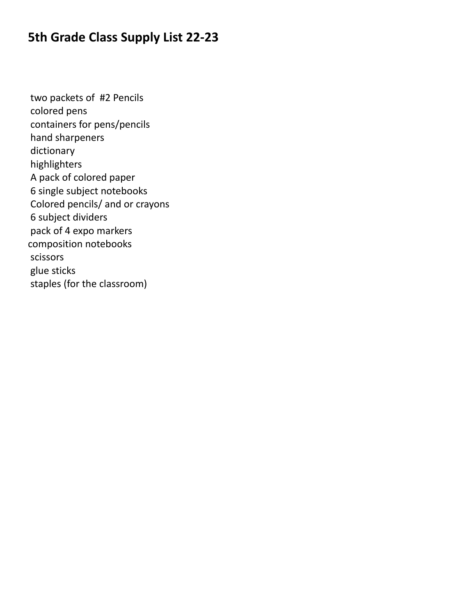## **5th Grade Class Supply List 22-23**

two packets of #2 Pencils colored pens containers for pens/pencils hand sharpeners dictionary highlighters A pack of colored paper 6 single subject notebooks Colored pencils/ and or crayons 6 subject dividers pack of 4 expo markers composition notebooks scissors glue sticks staples (for the classroom)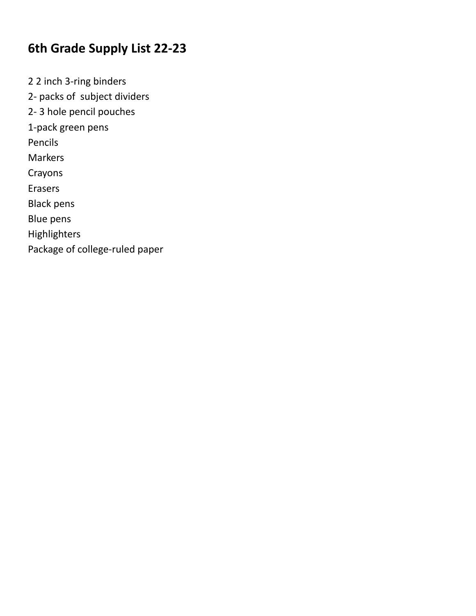## **6th Grade Supply List 22-23**

2 2 inch 3-ring binders 2- packs of subject dividers 2- 3 hole pencil pouches 1-pack green pens Pencils Markers Crayons Erasers Black pens Blue pens Highlighters Package of college-ruled paper